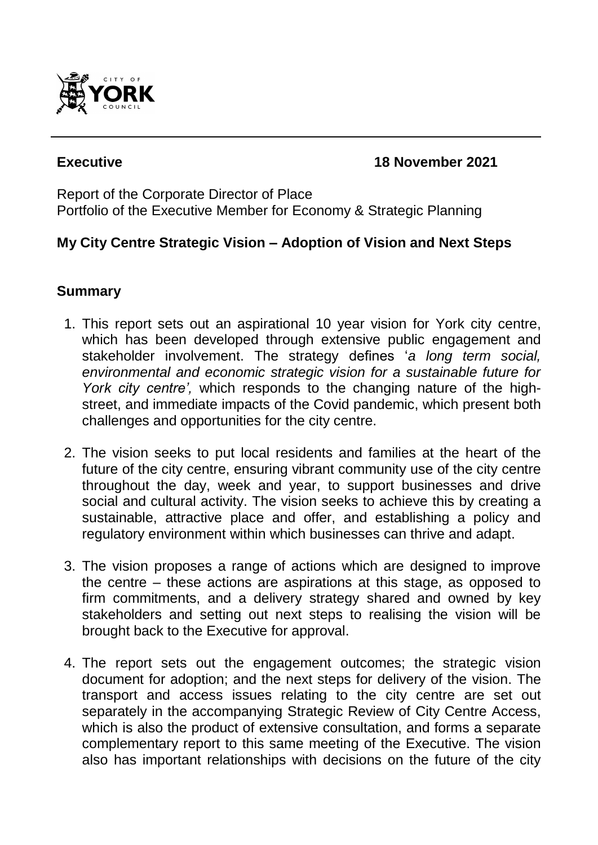

### **Executive 18 November 2021**

Report of the Corporate Director of Place Portfolio of the Executive Member for Economy & Strategic Planning

# **My City Centre Strategic Vision – Adoption of Vision and Next Steps**

## **Summary**

- 1. This report sets out an aspirational 10 year vision for York city centre, which has been developed through extensive public engagement and stakeholder involvement. The strategy defines '*a long term social, environmental and economic strategic vision for a sustainable future for York city centre',* which responds to the changing nature of the highstreet, and immediate impacts of the Covid pandemic, which present both challenges and opportunities for the city centre.
- 2. The vision seeks to put local residents and families at the heart of the future of the city centre, ensuring vibrant community use of the city centre throughout the day, week and year, to support businesses and drive social and cultural activity. The vision seeks to achieve this by creating a sustainable, attractive place and offer, and establishing a policy and regulatory environment within which businesses can thrive and adapt.
- 3. The vision proposes a range of actions which are designed to improve the centre – these actions are aspirations at this stage, as opposed to firm commitments, and a delivery strategy shared and owned by key stakeholders and setting out next steps to realising the vision will be brought back to the Executive for approval.
- 4. The report sets out the engagement outcomes; the strategic vision document for adoption; and the next steps for delivery of the vision. The transport and access issues relating to the city centre are set out separately in the accompanying Strategic Review of City Centre Access, which is also the product of extensive consultation, and forms a separate complementary report to this same meeting of the Executive. The vision also has important relationships with decisions on the future of the city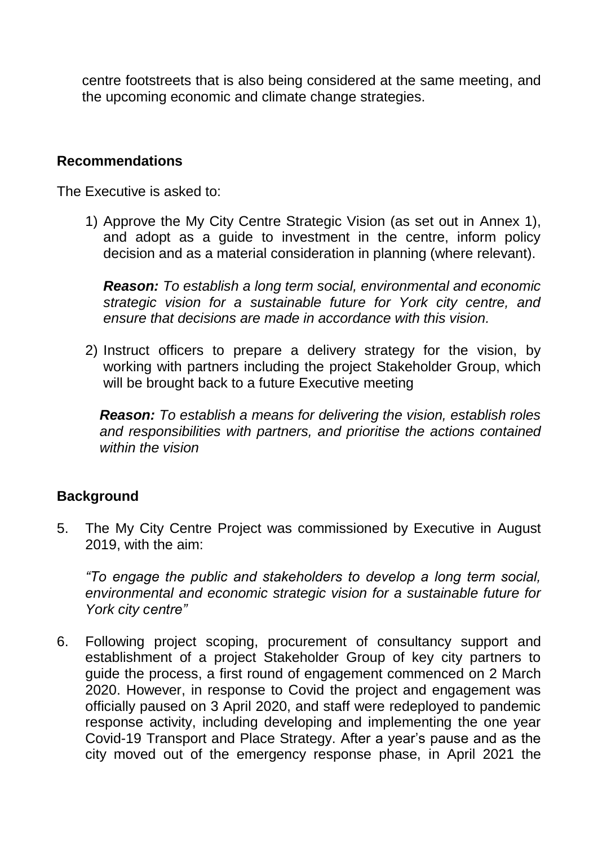centre footstreets that is also being considered at the same meeting, and the upcoming economic and climate change strategies.

#### **Recommendations**

The Executive is asked to:

1) Approve the My City Centre Strategic Vision (as set out in Annex 1), and adopt as a guide to investment in the centre, inform policy decision and as a material consideration in planning (where relevant).

*Reason: To establish a long term social, environmental and economic strategic vision for a sustainable future for York city centre, and ensure that decisions are made in accordance with this vision.*

2) Instruct officers to prepare a delivery strategy for the vision, by working with partners including the project Stakeholder Group, which will be brought back to a future Executive meeting

*Reason: To establish a means for delivering the vision, establish roles and responsibilities with partners, and prioritise the actions contained within the vision*

### **Background**

5. The My City Centre Project was commissioned by Executive in August 2019, with the aim:

*"To engage the public and stakeholders to develop a long term social, environmental and economic strategic vision for a sustainable future for York city centre"*

6. Following project scoping, procurement of consultancy support and establishment of a project Stakeholder Group of key city partners to guide the process, a first round of engagement commenced on 2 March 2020. However, in response to Covid the project and engagement was officially paused on 3 April 2020, and staff were redeployed to pandemic response activity, including developing and implementing the one year Covid-19 Transport and Place Strategy. After a year's pause and as the city moved out of the emergency response phase, in April 2021 the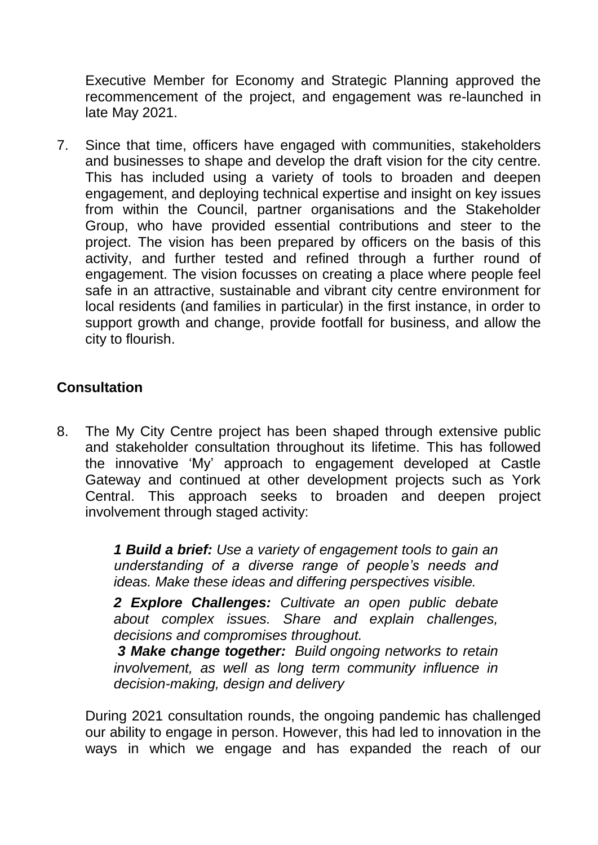Executive Member for Economy and Strategic Planning approved the recommencement of the project, and engagement was re-launched in late May 2021.

7. Since that time, officers have engaged with communities, stakeholders and businesses to shape and develop the draft vision for the city centre. This has included using a variety of tools to broaden and deepen engagement, and deploying technical expertise and insight on key issues from within the Council, partner organisations and the Stakeholder Group, who have provided essential contributions and steer to the project. The vision has been prepared by officers on the basis of this activity, and further tested and refined through a further round of engagement. The vision focusses on creating a place where people feel safe in an attractive, sustainable and vibrant city centre environment for local residents (and families in particular) in the first instance, in order to support growth and change, provide footfall for business, and allow the city to flourish.

# **Consultation**

8. The My City Centre project has been shaped through extensive public and stakeholder consultation throughout its lifetime. This has followed the innovative 'My' approach to engagement developed at Castle Gateway and continued at other development projects such as York Central. This approach seeks to broaden and deepen project involvement through staged activity:

> *1 Build a brief: Use a variety of engagement tools to gain an understanding of a diverse range of people's needs and ideas. Make these ideas and differing perspectives visible.*

> *2 Explore Challenges: Cultivate an open public debate about complex issues. Share and explain challenges, decisions and compromises throughout.*

> *3 Make change together: Build ongoing networks to retain involvement, as well as long term community influence in decision-making, design and delivery*

During 2021 consultation rounds, the ongoing pandemic has challenged our ability to engage in person. However, this had led to innovation in the ways in which we engage and has expanded the reach of our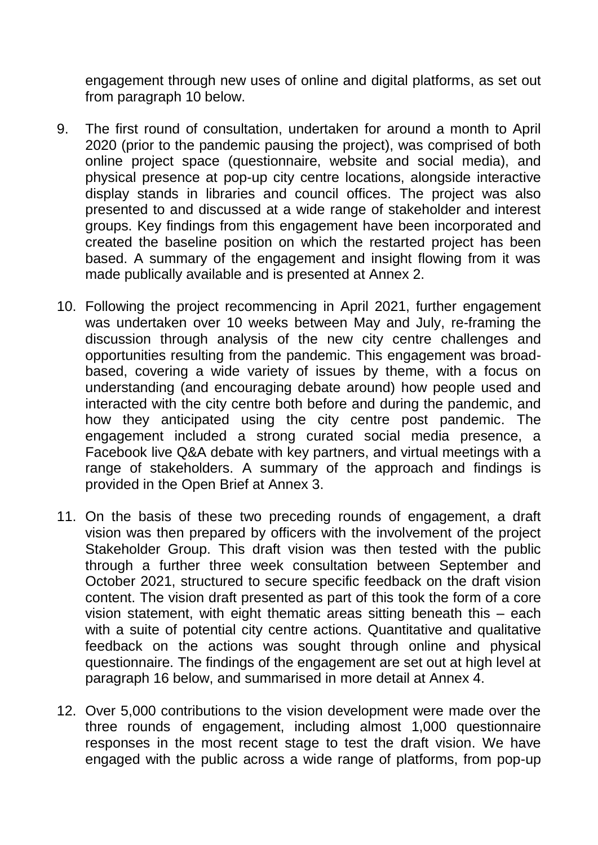engagement through new uses of online and digital platforms, as set out from paragraph 10 below.

- 9. The first round of consultation, undertaken for around a month to April 2020 (prior to the pandemic pausing the project), was comprised of both online project space (questionnaire, website and social media), and physical presence at pop-up city centre locations, alongside interactive display stands in libraries and council offices. The project was also presented to and discussed at a wide range of stakeholder and interest groups. Key findings from this engagement have been incorporated and created the baseline position on which the restarted project has been based. A summary of the engagement and insight flowing from it was made publically available and is presented at Annex 2.
- 10. Following the project recommencing in April 2021, further engagement was undertaken over 10 weeks between May and July, re-framing the discussion through analysis of the new city centre challenges and opportunities resulting from the pandemic. This engagement was broadbased, covering a wide variety of issues by theme, with a focus on understanding (and encouraging debate around) how people used and interacted with the city centre both before and during the pandemic, and how they anticipated using the city centre post pandemic. The engagement included a strong curated social media presence, a Facebook live Q&A debate with key partners, and virtual meetings with a range of stakeholders. A summary of the approach and findings is provided in the Open Brief at Annex 3.
- 11. On the basis of these two preceding rounds of engagement, a draft vision was then prepared by officers with the involvement of the project Stakeholder Group. This draft vision was then tested with the public through a further three week consultation between September and October 2021, structured to secure specific feedback on the draft vision content. The vision draft presented as part of this took the form of a core vision statement, with eight thematic areas sitting beneath this – each with a suite of potential city centre actions. Quantitative and qualitative feedback on the actions was sought through online and physical questionnaire. The findings of the engagement are set out at high level at paragraph 16 below, and summarised in more detail at Annex 4.
- 12. Over 5,000 contributions to the vision development were made over the three rounds of engagement, including almost 1,000 questionnaire responses in the most recent stage to test the draft vision. We have engaged with the public across a wide range of platforms, from pop-up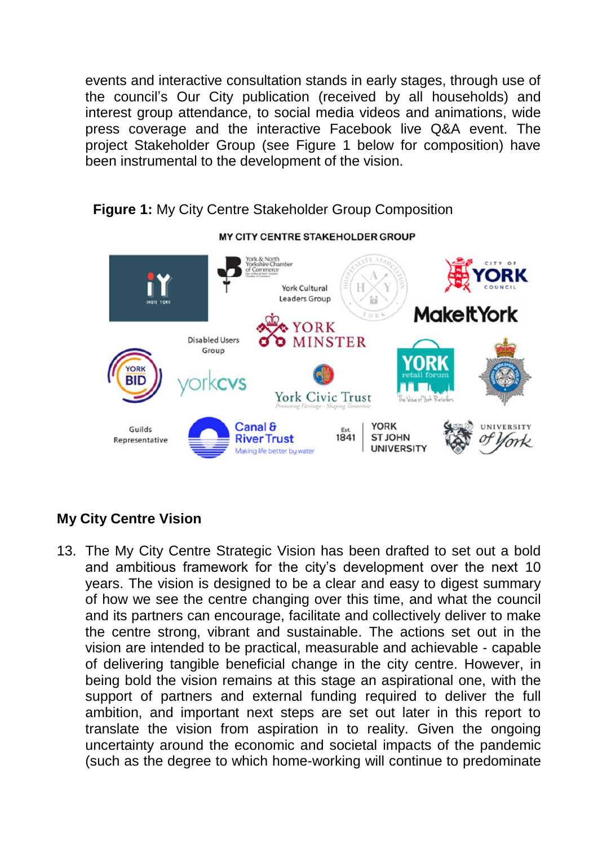events and interactive consultation stands in early stages, through use of the council's Our City publication (received by all households) and interest group attendance, to social media videos and animations, wide press coverage and the interactive Facebook live Q&A event. The project Stakeholder Group (see Figure 1 below for composition) have been instrumental to the development of the vision.



**Figure 1:** My City Centre Stakeholder Group Composition

# **My City Centre Vision**

13. The My City Centre Strategic Vision has been drafted to set out a bold and ambitious framework for the city's development over the next 10 years. The vision is designed to be a clear and easy to digest summary of how we see the centre changing over this time, and what the council and its partners can encourage, facilitate and collectively deliver to make the centre strong, vibrant and sustainable. The actions set out in the vision are intended to be practical, measurable and achievable - capable of delivering tangible beneficial change in the city centre. However, in being bold the vision remains at this stage an aspirational one, with the support of partners and external funding required to deliver the full ambition, and important next steps are set out later in this report to translate the vision from aspiration in to reality. Given the ongoing uncertainty around the economic and societal impacts of the pandemic (such as the degree to which home-working will continue to predominate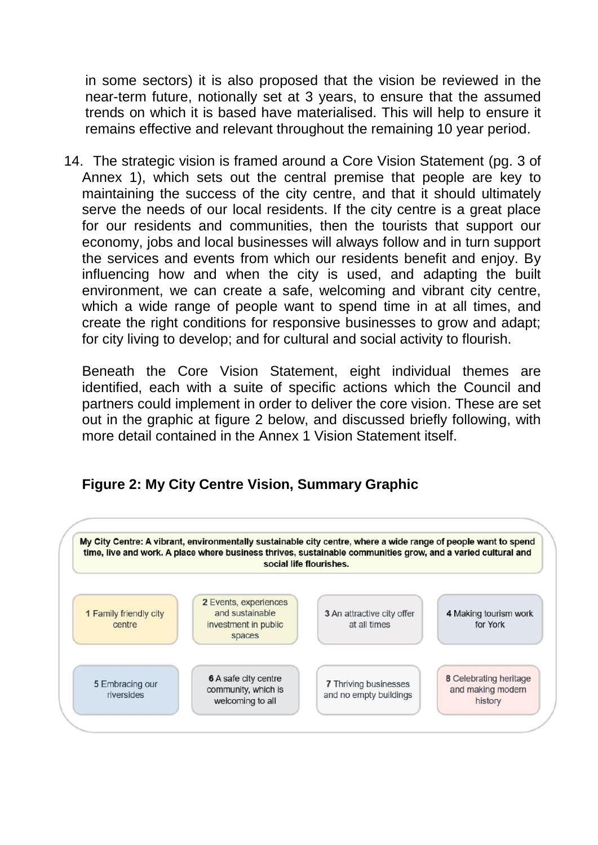in some sectors) it is also proposed that the vision be reviewed in the near-term future, notionally set at 3 years, to ensure that the assumed trends on which it is based have materialised. This will help to ensure it remains effective and relevant throughout the remaining 10 year period.

14. The strategic vision is framed around a Core Vision Statement (pg. 3 of Annex 1), which sets out the central premise that people are key to maintaining the success of the city centre, and that it should ultimately serve the needs of our local residents. If the city centre is a great place for our residents and communities, then the tourists that support our economy, jobs and local businesses will always follow and in turn support the services and events from which our residents benefit and enjoy. By influencing how and when the city is used, and adapting the built environment, we can create a safe, welcoming and vibrant city centre, which a wide range of people want to spend time in at all times, and create the right conditions for responsive businesses to grow and adapt; for city living to develop; and for cultural and social activity to flourish.

Beneath the Core Vision Statement, eight individual themes are identified, each with a suite of specific actions which the Council and partners could implement in order to deliver the core vision. These are set out in the graphic at figure 2 below, and discussed briefly following, with more detail contained in the Annex 1 Vision Statement itself.



# **Figure 2: My City Centre Vision, Summary Graphic**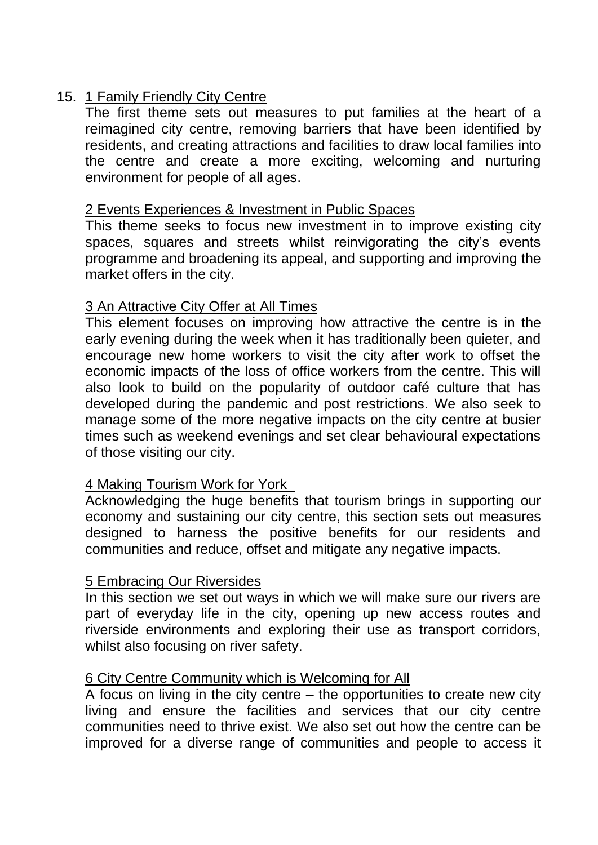### 15. 1 Family Friendly City Centre

The first theme sets out measures to put families at the heart of a reimagined city centre, removing barriers that have been identified by residents, and creating attractions and facilities to draw local families into the centre and create a more exciting, welcoming and nurturing environment for people of all ages.

#### 2 Events Experiences & Investment in Public Spaces

This theme seeks to focus new investment in to improve existing city spaces, squares and streets whilst reinvigorating the city's events programme and broadening its appeal, and supporting and improving the market offers in the city.

### 3 An Attractive City Offer at All Times

This element focuses on improving how attractive the centre is in the early evening during the week when it has traditionally been quieter, and encourage new home workers to visit the city after work to offset the economic impacts of the loss of office workers from the centre. This will also look to build on the popularity of outdoor café culture that has developed during the pandemic and post restrictions. We also seek to manage some of the more negative impacts on the city centre at busier times such as weekend evenings and set clear behavioural expectations of those visiting our city.

### 4 Making Tourism Work for York

Acknowledging the huge benefits that tourism brings in supporting our economy and sustaining our city centre, this section sets out measures designed to harness the positive benefits for our residents and communities and reduce, offset and mitigate any negative impacts.

### 5 Embracing Our Riversides

In this section we set out ways in which we will make sure our rivers are part of everyday life in the city, opening up new access routes and riverside environments and exploring their use as transport corridors, whilst also focusing on river safety.

#### 6 City Centre Community which is Welcoming for All

A focus on living in the city centre – the opportunities to create new city living and ensure the facilities and services that our city centre communities need to thrive exist. We also set out how the centre can be improved for a diverse range of communities and people to access it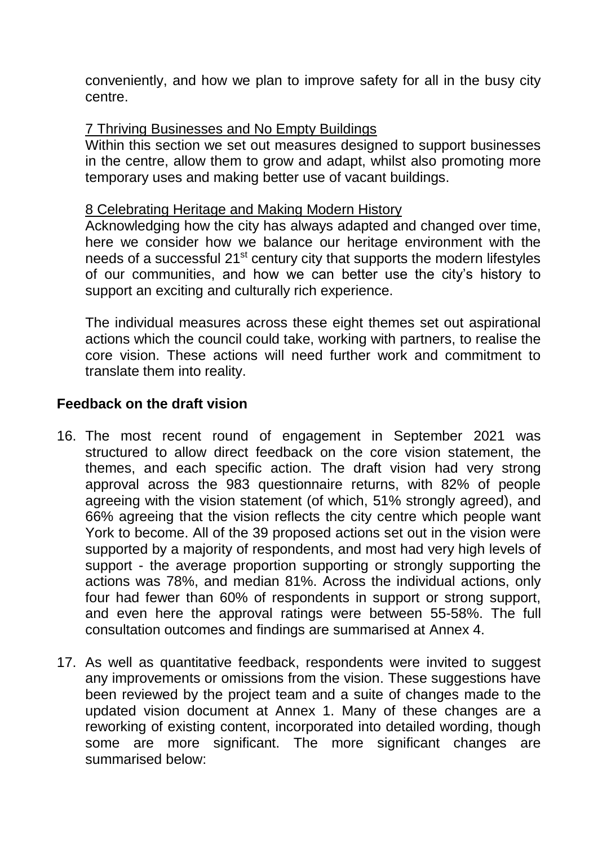conveniently, and how we plan to improve safety for all in the busy city centre.

#### 7 Thriving Businesses and No Empty Buildings

Within this section we set out measures designed to support businesses in the centre, allow them to grow and adapt, whilst also promoting more temporary uses and making better use of vacant buildings.

#### 8 Celebrating Heritage and Making Modern History

Acknowledging how the city has always adapted and changed over time, here we consider how we balance our heritage environment with the needs of a successful 21st century city that supports the modern lifestyles of our communities, and how we can better use the city's history to support an exciting and culturally rich experience.

The individual measures across these eight themes set out aspirational actions which the council could take, working with partners, to realise the core vision. These actions will need further work and commitment to translate them into reality.

### **Feedback on the draft vision**

- 16. The most recent round of engagement in September 2021 was structured to allow direct feedback on the core vision statement, the themes, and each specific action. The draft vision had very strong approval across the 983 questionnaire returns, with 82% of people agreeing with the vision statement (of which, 51% strongly agreed), and 66% agreeing that the vision reflects the city centre which people want York to become. All of the 39 proposed actions set out in the vision were supported by a majority of respondents, and most had very high levels of support - the average proportion supporting or strongly supporting the actions was 78%, and median 81%. Across the individual actions, only four had fewer than 60% of respondents in support or strong support, and even here the approval ratings were between 55-58%. The full consultation outcomes and findings are summarised at Annex 4.
- 17. As well as quantitative feedback, respondents were invited to suggest any improvements or omissions from the vision. These suggestions have been reviewed by the project team and a suite of changes made to the updated vision document at Annex 1. Many of these changes are a reworking of existing content, incorporated into detailed wording, though some are more significant. The more significant changes are summarised below: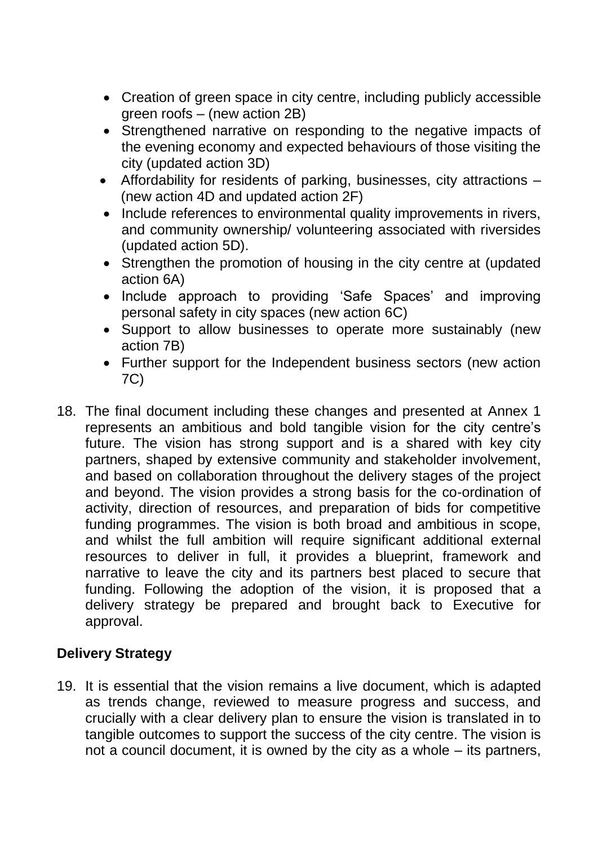- Creation of green space in city centre, including publicly accessible green roofs – (new action 2B)
- Strengthened narrative on responding to the negative impacts of the evening economy and expected behaviours of those visiting the city (updated action 3D)
- Affordability for residents of parking, businesses, city attractions (new action 4D and updated action 2F)
- Include references to environmental quality improvements in rivers, and community ownership/ volunteering associated with riversides (updated action 5D).
- Strengthen the promotion of housing in the city centre at (updated action 6A)
- Include approach to providing 'Safe Spaces' and improving personal safety in city spaces (new action 6C)
- Support to allow businesses to operate more sustainably (new action 7B)
- Further support for the Independent business sectors (new action 7C)
- 18. The final document including these changes and presented at Annex 1 represents an ambitious and bold tangible vision for the city centre's future. The vision has strong support and is a shared with key city partners, shaped by extensive community and stakeholder involvement, and based on collaboration throughout the delivery stages of the project and beyond. The vision provides a strong basis for the co-ordination of activity, direction of resources, and preparation of bids for competitive funding programmes. The vision is both broad and ambitious in scope, and whilst the full ambition will require significant additional external resources to deliver in full, it provides a blueprint, framework and narrative to leave the city and its partners best placed to secure that funding. Following the adoption of the vision, it is proposed that a delivery strategy be prepared and brought back to Executive for approval.

# **Delivery Strategy**

19. It is essential that the vision remains a live document, which is adapted as trends change, reviewed to measure progress and success, and crucially with a clear delivery plan to ensure the vision is translated in to tangible outcomes to support the success of the city centre. The vision is not a council document, it is owned by the city as a whole – its partners,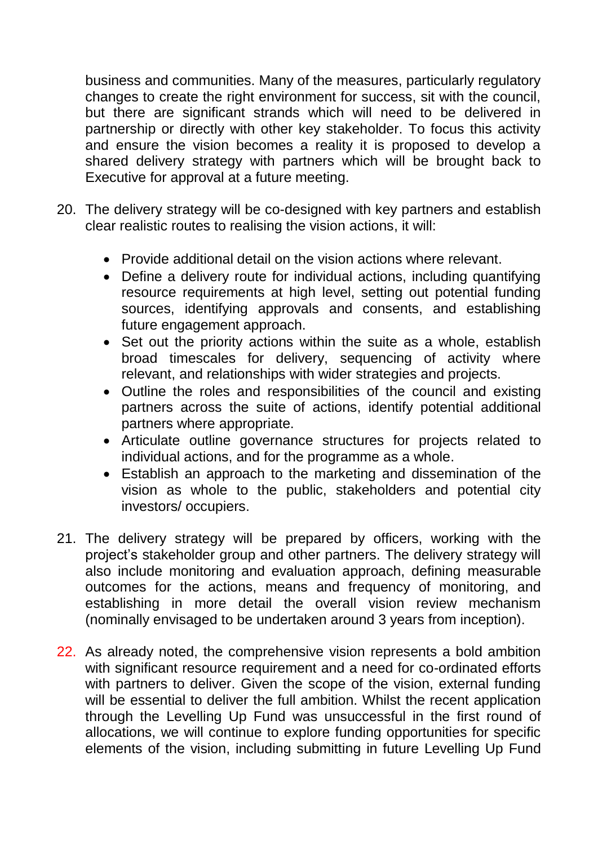business and communities. Many of the measures, particularly regulatory changes to create the right environment for success, sit with the council, but there are significant strands which will need to be delivered in partnership or directly with other key stakeholder. To focus this activity and ensure the vision becomes a reality it is proposed to develop a shared delivery strategy with partners which will be brought back to Executive for approval at a future meeting.

- 20. The delivery strategy will be co-designed with key partners and establish clear realistic routes to realising the vision actions, it will:
	- Provide additional detail on the vision actions where relevant.
	- Define a delivery route for individual actions, including quantifying resource requirements at high level, setting out potential funding sources, identifying approvals and consents, and establishing future engagement approach.
	- Set out the priority actions within the suite as a whole, establish broad timescales for delivery, sequencing of activity where relevant, and relationships with wider strategies and projects.
	- Outline the roles and responsibilities of the council and existing partners across the suite of actions, identify potential additional partners where appropriate.
	- Articulate outline governance structures for projects related to individual actions, and for the programme as a whole.
	- Establish an approach to the marketing and dissemination of the vision as whole to the public, stakeholders and potential city investors/ occupiers.
- 21. The delivery strategy will be prepared by officers, working with the project's stakeholder group and other partners. The delivery strategy will also include monitoring and evaluation approach, defining measurable outcomes for the actions, means and frequency of monitoring, and establishing in more detail the overall vision review mechanism (nominally envisaged to be undertaken around 3 years from inception).
- 22. As already noted, the comprehensive vision represents a bold ambition with significant resource requirement and a need for co-ordinated efforts with partners to deliver. Given the scope of the vision, external funding will be essential to deliver the full ambition. Whilst the recent application through the Levelling Up Fund was unsuccessful in the first round of allocations, we will continue to explore funding opportunities for specific elements of the vision, including submitting in future Levelling Up Fund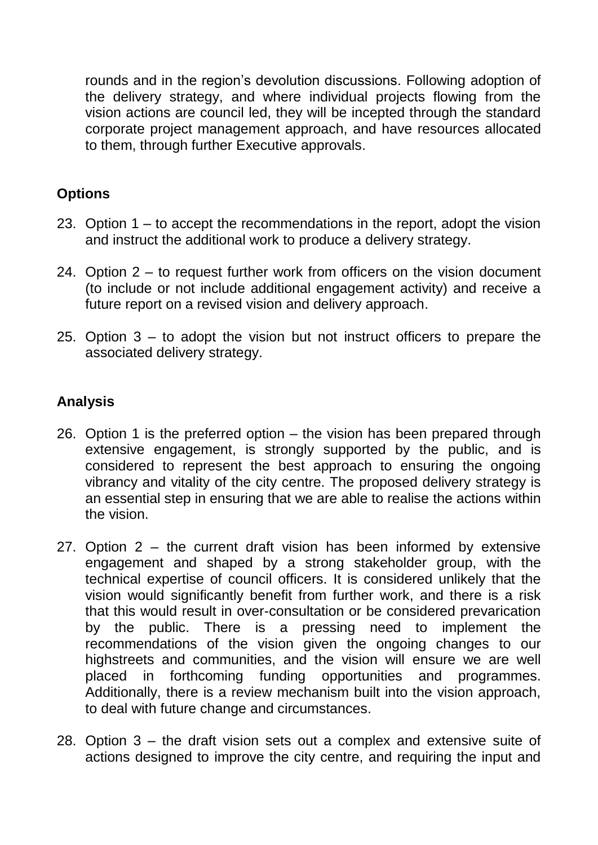rounds and in the region's devolution discussions. Following adoption of the delivery strategy, and where individual projects flowing from the vision actions are council led, they will be incepted through the standard corporate project management approach, and have resources allocated to them, through further Executive approvals.

# **Options**

- 23. Option 1 to accept the recommendations in the report, adopt the vision and instruct the additional work to produce a delivery strategy.
- 24. Option 2 to request further work from officers on the vision document (to include or not include additional engagement activity) and receive a future report on a revised vision and delivery approach.
- 25. Option 3 to adopt the vision but not instruct officers to prepare the associated delivery strategy.

## **Analysis**

- 26. Option 1 is the preferred option the vision has been prepared through extensive engagement, is strongly supported by the public, and is considered to represent the best approach to ensuring the ongoing vibrancy and vitality of the city centre. The proposed delivery strategy is an essential step in ensuring that we are able to realise the actions within the vision.
- 27. Option 2 the current draft vision has been informed by extensive engagement and shaped by a strong stakeholder group, with the technical expertise of council officers. It is considered unlikely that the vision would significantly benefit from further work, and there is a risk that this would result in over-consultation or be considered prevarication by the public. There is a pressing need to implement the recommendations of the vision given the ongoing changes to our highstreets and communities, and the vision will ensure we are well placed in forthcoming funding opportunities and programmes. Additionally, there is a review mechanism built into the vision approach, to deal with future change and circumstances.
- 28. Option 3 the draft vision sets out a complex and extensive suite of actions designed to improve the city centre, and requiring the input and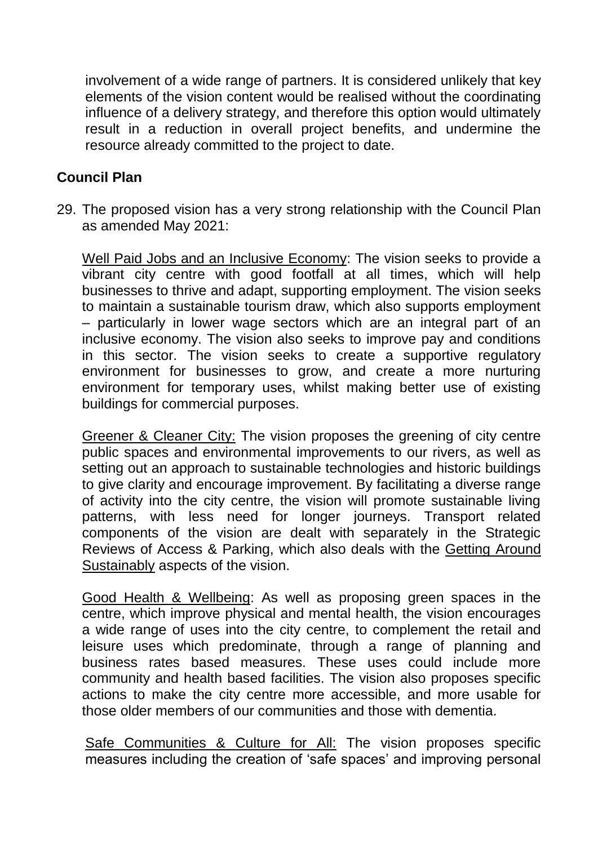involvement of a wide range of partners. It is considered unlikely that key elements of the vision content would be realised without the coordinating influence of a delivery strategy, and therefore this option would ultimately result in a reduction in overall project benefits, and undermine the resource already committed to the project to date.

#### **Council Plan**

29. The proposed vision has a very strong relationship with the Council Plan as amended May 2021:

Well Paid Jobs and an Inclusive Economy: The vision seeks to provide a vibrant city centre with good footfall at all times, which will help businesses to thrive and adapt, supporting employment. The vision seeks to maintain a sustainable tourism draw, which also supports employment – particularly in lower wage sectors which are an integral part of an inclusive economy. The vision also seeks to improve pay and conditions in this sector. The vision seeks to create a supportive regulatory environment for businesses to grow, and create a more nurturing environment for temporary uses, whilst making better use of existing buildings for commercial purposes.

Greener & Cleaner City: The vision proposes the greening of city centre public spaces and environmental improvements to our rivers, as well as setting out an approach to sustainable technologies and historic buildings to give clarity and encourage improvement. By facilitating a diverse range of activity into the city centre, the vision will promote sustainable living patterns, with less need for longer journeys. Transport related components of the vision are dealt with separately in the Strategic Reviews of Access & Parking, which also deals with the Getting Around Sustainably aspects of the vision.

Good Health & Wellbeing: As well as proposing green spaces in the centre, which improve physical and mental health, the vision encourages a wide range of uses into the city centre, to complement the retail and leisure uses which predominate, through a range of planning and business rates based measures. These uses could include more community and health based facilities. The vision also proposes specific actions to make the city centre more accessible, and more usable for those older members of our communities and those with dementia.

Safe Communities & Culture for All: The vision proposes specific measures including the creation of 'safe spaces' and improving personal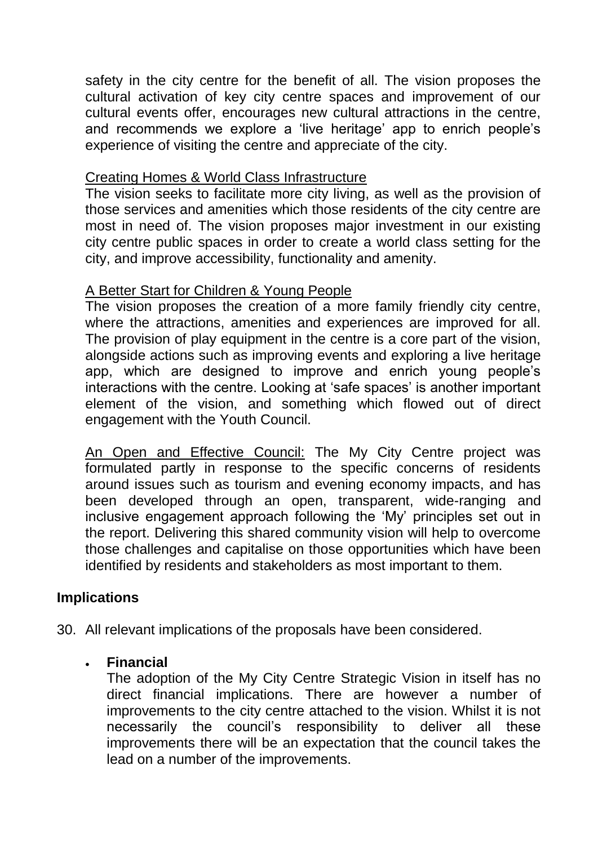safety in the city centre for the benefit of all. The vision proposes the cultural activation of key city centre spaces and improvement of our cultural events offer, encourages new cultural attractions in the centre, and recommends we explore a 'live heritage' app to enrich people's experience of visiting the centre and appreciate of the city.

#### Creating Homes & World Class Infrastructure

The vision seeks to facilitate more city living, as well as the provision of those services and amenities which those residents of the city centre are most in need of. The vision proposes major investment in our existing city centre public spaces in order to create a world class setting for the city, and improve accessibility, functionality and amenity.

#### A Better Start for Children & Young People

The vision proposes the creation of a more family friendly city centre, where the attractions, amenities and experiences are improved for all. The provision of play equipment in the centre is a core part of the vision, alongside actions such as improving events and exploring a live heritage app, which are designed to improve and enrich young people's interactions with the centre. Looking at 'safe spaces' is another important element of the vision, and something which flowed out of direct engagement with the Youth Council.

An Open and Effective Council: The My City Centre project was formulated partly in response to the specific concerns of residents around issues such as tourism and evening economy impacts, and has been developed through an open, transparent, wide-ranging and inclusive engagement approach following the 'My' principles set out in the report. Delivering this shared community vision will help to overcome those challenges and capitalise on those opportunities which have been identified by residents and stakeholders as most important to them.

### **Implications**

30. All relevant implications of the proposals have been considered.

### **Financial**

The adoption of the My City Centre Strategic Vision in itself has no direct financial implications. There are however a number of improvements to the city centre attached to the vision. Whilst it is not necessarily the council's responsibility to deliver all these improvements there will be an expectation that the council takes the lead on a number of the improvements.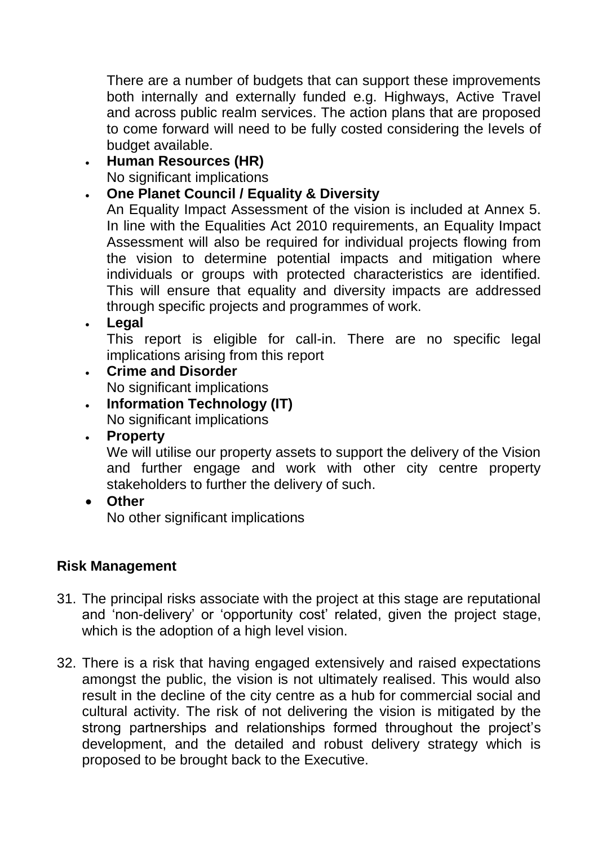There are a number of budgets that can support these improvements both internally and externally funded e.g. Highways, Active Travel and across public realm services. The action plans that are proposed to come forward will need to be fully costed considering the levels of budget available.

# **Human Resources (HR)**

No significant implications

## **One Planet Council / Equality & Diversity**

An Equality Impact Assessment of the vision is included at Annex 5. In line with the Equalities Act 2010 requirements, an Equality Impact Assessment will also be required for individual projects flowing from the vision to determine potential impacts and mitigation where individuals or groups with protected characteristics are identified. This will ensure that equality and diversity impacts are addressed through specific projects and programmes of work.

#### **Legal**

This report is eligible for call-in. There are no specific legal implications arising from this report

- **Crime and Disorder** No significant implications
- **Information Technology (IT)** No significant implications
- **Property**

We will utilise our property assets to support the delivery of the Vision and further engage and work with other city centre property stakeholders to further the delivery of such.

**Other**

No other significant implications

# **Risk Management**

- 31. The principal risks associate with the project at this stage are reputational and 'non-delivery' or 'opportunity cost' related, given the project stage, which is the adoption of a high level vision.
- 32. There is a risk that having engaged extensively and raised expectations amongst the public, the vision is not ultimately realised. This would also result in the decline of the city centre as a hub for commercial social and cultural activity. The risk of not delivering the vision is mitigated by the strong partnerships and relationships formed throughout the project's development, and the detailed and robust delivery strategy which is proposed to be brought back to the Executive.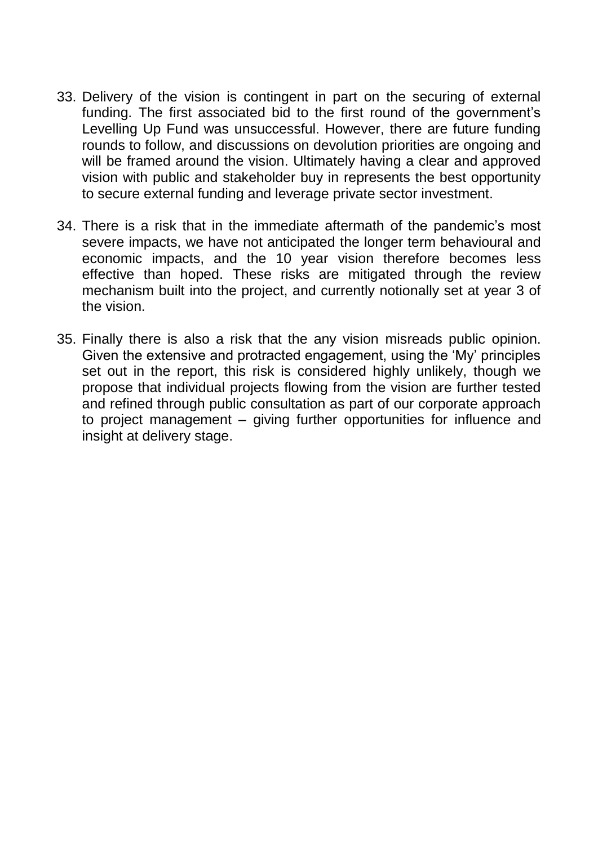- 33. Delivery of the vision is contingent in part on the securing of external funding. The first associated bid to the first round of the government's Levelling Up Fund was unsuccessful. However, there are future funding rounds to follow, and discussions on devolution priorities are ongoing and will be framed around the vision. Ultimately having a clear and approved vision with public and stakeholder buy in represents the best opportunity to secure external funding and leverage private sector investment.
- 34. There is a risk that in the immediate aftermath of the pandemic's most severe impacts, we have not anticipated the longer term behavioural and economic impacts, and the 10 year vision therefore becomes less effective than hoped. These risks are mitigated through the review mechanism built into the project, and currently notionally set at year 3 of the vision.
- 35. Finally there is also a risk that the any vision misreads public opinion. Given the extensive and protracted engagement, using the 'My' principles set out in the report, this risk is considered highly unlikely, though we propose that individual projects flowing from the vision are further tested and refined through public consultation as part of our corporate approach to project management – giving further opportunities for influence and insight at delivery stage.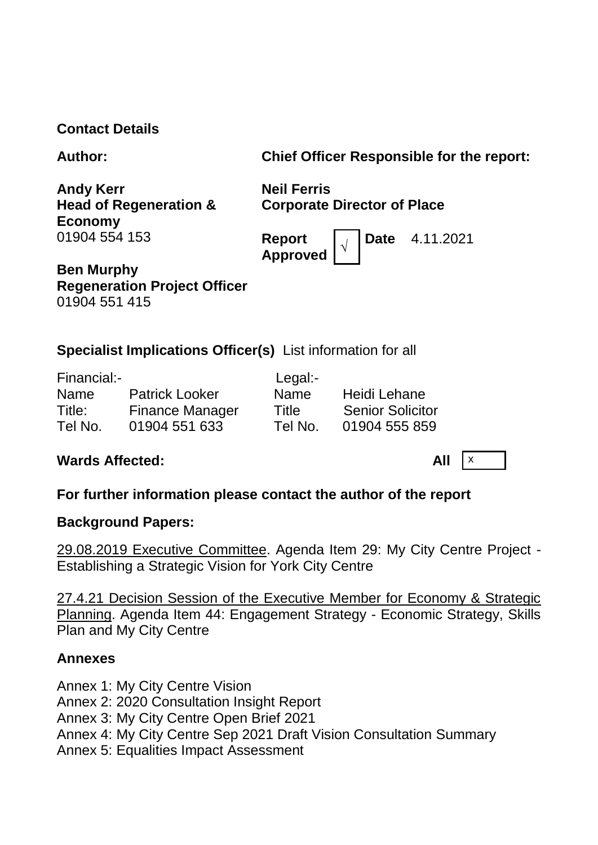### **Contact Details**

| <b>Author:</b> |  |
|----------------|--|
|----------------|--|

**Chief Officer Responsible for the report:** 

**Andy Kerr Head of Regeneration & Economy** 01904 554 153

**Neil Ferris Corporate Director of Place**

**Report Approved <sup>√</sup>** **Date** 4.11.2021

**Ben Murphy Regeneration Project Officer** 01904 551 415

# **Specialist Implications Officer(s)** List information for all

| Financial:- |                        | Legal:-     |                         |
|-------------|------------------------|-------------|-------------------------|
| <b>Name</b> | <b>Patrick Looker</b>  | <b>Name</b> | Heidi Lehane            |
| Title:      | <b>Finance Manager</b> | Title       | <b>Senior Solicitor</b> |
| Tel No.     | 01904 551 633          | Tel No.     | 01904 555 859           |

# **Wards Affected:** All  $\vert x \vert$

# **For further information please contact the author of the report**

### **Background Papers:**

29.08.2019 Executive Committee. Agenda Item 29: My City Centre Project - Establishing a Strategic Vision for York City Centre

27.4.21 Decision Session of the Executive Member for Economy & Strategic Planning. Agenda Item 44: Engagement Strategy - Economic Strategy, Skills Plan and My City Centre

### **Annexes**

Annex 1: My City Centre Vision Annex 2: 2020 Consultation Insight Report Annex 3: My City Centre Open Brief 2021 Annex 4: My City Centre Sep 2021 Draft Vision Consultation Summary Annex 5: Equalities Impact Assessment